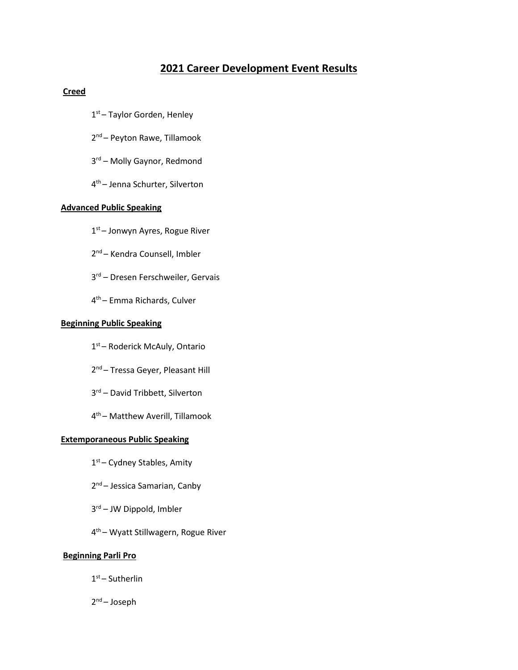# **2021 Career Development Event Results**

## **Creed**

- 1<sup>st</sup> Taylor Gorden, Henley
- 2<sup>nd</sup> Peyton Rawe, Tillamook
- 3<sup>rd</sup> Molly Gaynor, Redmond
- 4th Jenna Schurter, Silverton

#### **Advanced Public Speaking**

- 1<sup>st</sup> Jonwyn Ayres, Rogue River
- 2<sup>nd</sup> Kendra Counsell, Imbler
- 3<sup>rd</sup> Dresen Ferschweiler, Gervais
- 4th Emma Richards, Culver

#### **Beginning Public Speaking**

- 1<sup>st</sup> Roderick McAuly, Ontario
- 2<sup>nd</sup> Tressa Geyer, Pleasant Hill
- 3<sup>rd</sup> David Tribbett, Silverton
- 4th Matthew Averill, Tillamook

#### **Extemporaneous Public Speaking**

- 1<sup>st</sup> Cydney Stables, Amity
- 2<sup>nd</sup> Jessica Samarian, Canby
- 3rd JW Dippold, Imbler
- 4th Wyatt Stillwagern, Rogue River

## **Beginning Parli Pro**

- $1<sup>st</sup>$  Sutherlin
- 2nd Joseph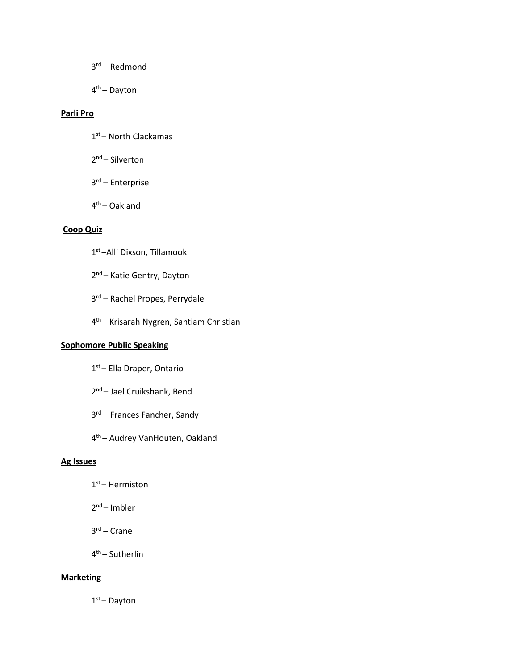- 3rd Redmond
- 4th Dayton

# **Parli Pro**

- 1<sup>st</sup> North Clackamas
- 2<sup>nd</sup> Silverton
- 3rd Enterprise
- 4th Oakland

# **Coop Quiz**

- 1st –Alli Dixson, Tillamook
- 2<sup>nd</sup> Katie Gentry, Dayton
- 3rd Rachel Propes, Perrydale
- 4th Krisarah Nygren, Santiam Christian

# **Sophomore Public Speaking**

- 1<sup>st</sup> Ella Draper, Ontario
- 2<sup>nd</sup> Jael Cruikshank, Bend
- 3rd Frances Fancher, Sandy
- 4th Audrey VanHouten, Oakland

## **Ag Issues**

- $1<sup>st</sup>$  Hermiston
- 2nd Imbler
- 3rd Crane
- 4th Sutherlin

# **Marketing**

 $1<sup>st</sup>$  – Dayton